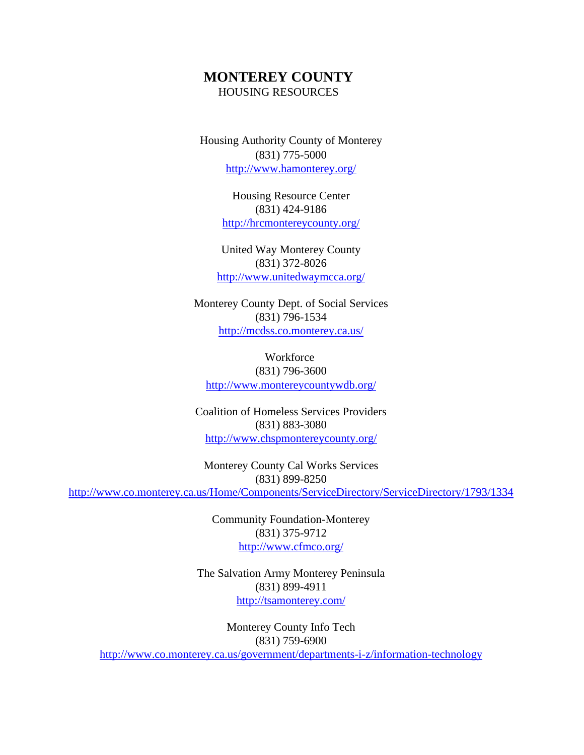## **MONTEREY COUNTY** HOUSING RESOURCES

Housing Authority County of Monterey (831) 775-5000 <http://www.hamonterey.org/>

> Housing Resource Center (831) 424-9186 <http://hrcmontereycounty.org/>

United Way Monterey County (831) 372-8026 <http://www.unitedwaymcca.org/>

Monterey County Dept. of Social Services (831) 796-1534 <http://mcdss.co.monterey.ca.us/>

**Workforce** (831) 796-3600 <http://www.montereycountywdb.org/>

Coalition of Homeless Services Providers (831) 883-3080 <http://www.chspmontereycounty.org/>

Monterey County Cal Works Services (831) 899-8250 <http://www.co.monterey.ca.us/Home/Components/ServiceDirectory/ServiceDirectory/1793/1334>

> Community Foundation-Monterey (831) 375-9712 <http://www.cfmco.org/>

The Salvation Army Monterey Peninsula (831) 899-4911 <http://tsamonterey.com/>

Monterey County Info Tech (831) 759-6900 <http://www.co.monterey.ca.us/government/departments-i-z/information-technology>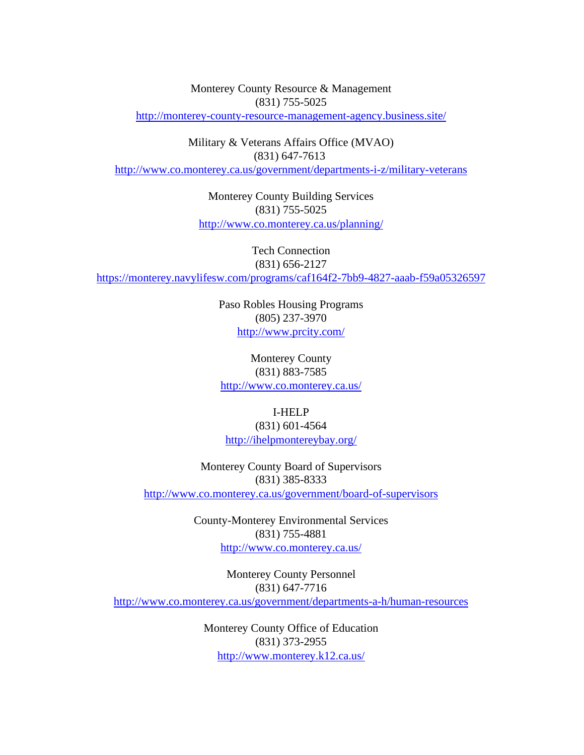Monterey County Resource & Management (831) 755-5025 <http://monterey-county-resource-management-agency.business.site/>

Military & Veterans Affairs Office (MVAO) (831) 647-7613 <http://www.co.monterey.ca.us/government/departments-i-z/military-veterans>

> Monterey County Building Services (831) 755-5025 <http://www.co.monterey.ca.us/planning/>

Tech Connection (831) 656-2127 <https://monterey.navylifesw.com/programs/caf164f2-7bb9-4827-aaab-f59a05326597>

> Paso Robles Housing Programs (805) 237-3970 <http://www.prcity.com/>

Monterey County (831) 883-7585 <http://www.co.monterey.ca.us/>

> I-HELP (831) 601-4564

<http://ihelpmontereybay.org/>

Monterey County Board of Supervisors (831) 385-8333 <http://www.co.monterey.ca.us/government/board-of-supervisors>

> County-Monterey Environmental Services (831) 755-4881 <http://www.co.monterey.ca.us/>

Monterey County Personnel (831) 647-7716 <http://www.co.monterey.ca.us/government/departments-a-h/human-resources>

> Monterey County Office of Education (831) 373-2955 <http://www.monterey.k12.ca.us/>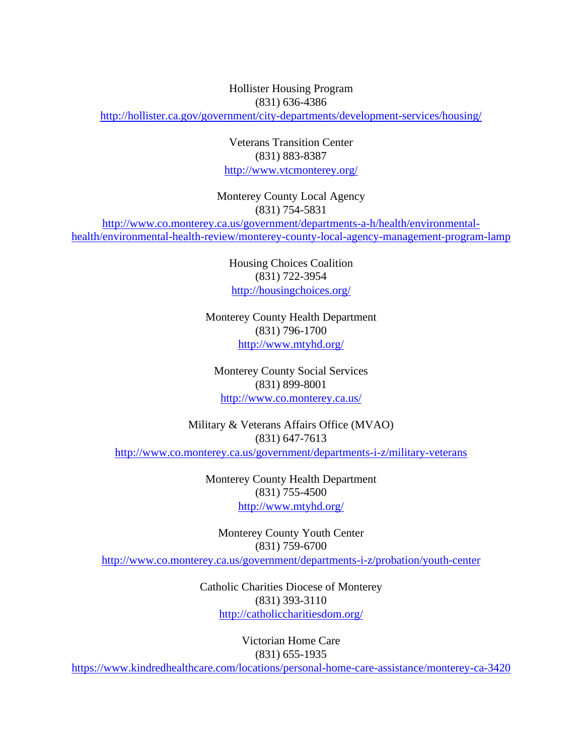Hollister Housing Program (831) 636-4386

<http://hollister.ca.gov/government/city-departments/development-services/housing/>

Veterans Transition Center (831) 883-8387 <http://www.vtcmonterey.org/>

Monterey County Local Agency (831) 754-5831 [http://www.co.monterey.ca.us/government/departments-a-h/health/environmental](http://www.co.monterey.ca.us/government/departments-a-h/health/environmental-health/environmental-health-review/monterey-county-local-agency-management-program-lamp)[health/environmental-health-review/monterey-county-local-agency-management-program-lamp](http://www.co.monterey.ca.us/government/departments-a-h/health/environmental-health/environmental-health-review/monterey-county-local-agency-management-program-lamp)

> Housing Choices Coalition (831) 722-3954 <http://housingchoices.org/>

Monterey County Health Department (831) 796-1700 <http://www.mtyhd.org/>

Monterey County Social Services (831) 899-8001 <http://www.co.monterey.ca.us/>

Military & Veterans Affairs Office (MVAO) (831) 647-7613 <http://www.co.monterey.ca.us/government/departments-i-z/military-veterans>

> Monterey County Health Department (831) 755-4500 <http://www.mtyhd.org/>

Monterey County Youth Center (831) 759-6700 <http://www.co.monterey.ca.us/government/departments-i-z/probation/youth-center>

> Catholic Charities Diocese of Monterey (831) 393-3110 <http://catholiccharitiesdom.org/>

> > Victorian Home Care (831) 655-1935

<https://www.kindredhealthcare.com/locations/personal-home-care-assistance/monterey-ca-3420>